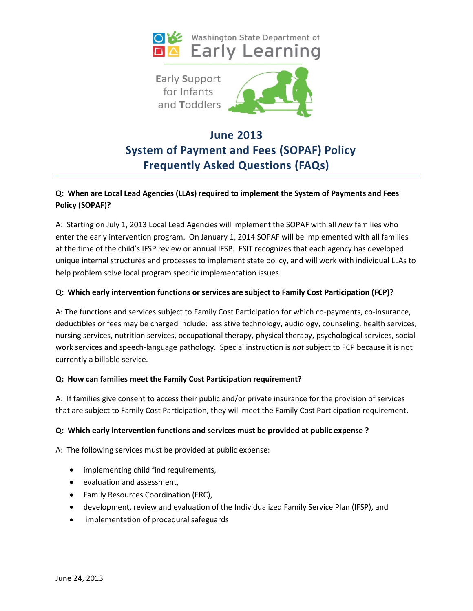



# **June 2013 System of Payment and Fees (SOPAF) Policy Frequently Asked Questions (FAQs)**

# **Q: When are Local Lead Agencies (LLAs) required to implement the System of Payments and Fees Policy (SOPAF)?**

A: Starting on July 1, 2013 Local Lead Agencies will implement the SOPAF with all *new* families who enter the early intervention program. On January 1, 2014 SOPAF will be implemented with all families at the time of the child's IFSP review or annual IFSP. ESIT recognizes that each agency has developed unique internal structures and processes to implement state policy, and will work with individual LLAs to help problem solve local program specific implementation issues.

## **Q: Which early intervention functions or services are subject to Family Cost Participation (FCP)?**

A: The functions and services subject to Family Cost Participation for which co-payments, co-insurance, deductibles or fees may be charged include: assistive technology, audiology, counseling, health services, nursing services, nutrition services, occupational therapy, physical therapy, psychological services, social work services and speech-language pathology. Special instruction is *not* subject to FCP because it is not currently a billable service.

#### **Q: How can families meet the Family Cost Participation requirement?**

A: If families give consent to access their public and/or private insurance for the provision of services that are subject to Family Cost Participation, they will meet the Family Cost Participation requirement.

#### **Q: Which early intervention functions and services must be provided at public expense ?**

A: The following services must be provided at public expense:

- implementing child find requirements,
- evaluation and assessment,
- Family Resources Coordination (FRC),
- development, review and evaluation of the Individualized Family Service Plan (IFSP), and
- implementation of procedural safeguards